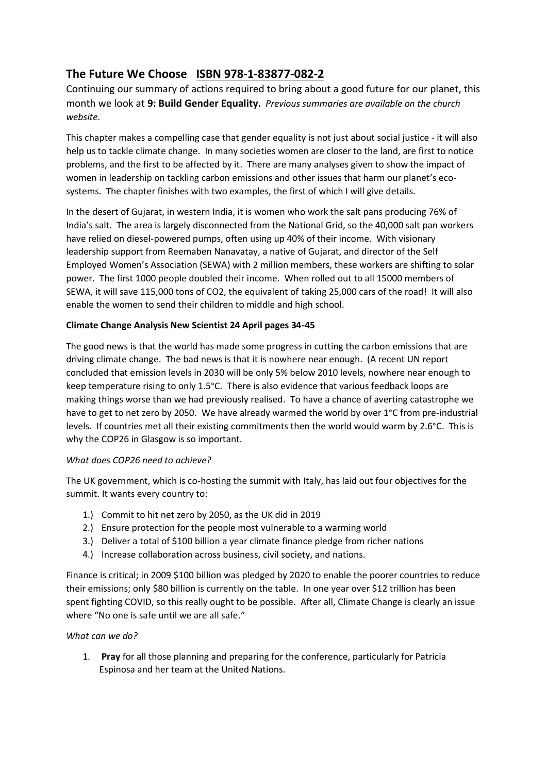## **The Future We Choose ISBN 978-1-83877-082-2**

Continuing our summary of actions required to bring about a good future for our planet, this month we look at **9: Build Gender Equality.** *Previous summaries are available on the church website.*

This chapter makes a compelling case that gender equality is not just about social justice - it will also help us to tackle climate change. In many societies women are closer to the land, are first to notice problems, and the first to be affected by it. There are many analyses given to show the impact of women in leadership on tackling carbon emissions and other issues that harm our planet's ecosystems. The chapter finishes with two examples, the first of which I will give details.

In the desert of Gujarat, in western India, it is women who work the salt pans producing 76% of India's salt. The area is largely disconnected from the National Grid, so the 40,000 salt pan workers have relied on diesel-powered pumps, often using up 40% of their income. With visionary leadership support from Reemaben Nanavatay, a native of Gujarat, and director of the Self Employed Women's Association (SEWA) with 2 million members, these workers are shifting to solar power. The first 1000 people doubled their income. When rolled out to all 15000 members of SEWA, it will save 115,000 tons of CO2, the equivalent of taking 25,000 cars of the road! It will also enable the women to send their children to middle and high school.

## **Climate Change Analysis New Scientist 24 April pages 34-45**

The good news is that the world has made some progress in cutting the carbon emissions that are driving climate change. The bad news is that it is nowhere near enough. (A recent UN report concluded that emission levels in 2030 will be only 5% below 2010 levels, nowhere near enough to keep temperature rising to only 1.5°C. There is also evidence that various feedback loops are making things worse than we had previously realised. To have a chance of averting catastrophe we have to get to net zero by 2050. We have already warmed the world by over 1°C from pre-industrial levels. If countries met all their existing commitments then the world would warm by 2.6°C. This is why the COP26 in Glasgow is so important.

## *What does COP26 need to achieve?*

The UK government, which is co-hosting the summit with Italy, has laid out four objectives for the summit. It wants every country to:

- 1.) Commit to hit net zero by 2050, as the UK did in 2019
- 2.) Ensure protection for the people most vulnerable to a warming world
- 3.) Deliver a total of \$100 billion a year climate finance pledge from richer nations
- 4.) Increase collaboration across business, civil society, and nations.

Finance is critical; in 2009 \$100 billion was pledged by 2020 to enable the poorer countries to reduce their emissions; only \$80 billion is currently on the table. In one year over \$12 trillion has been spent fighting COVID, so this really ought to be possible. After all, Climate Change is clearly an issue where "No one is safe until we are all safe."

## *What can we do?*

1. **Pray** for all those planning and preparing for the conference, particularly for Patricia Espinosa and her team at the United Nations.